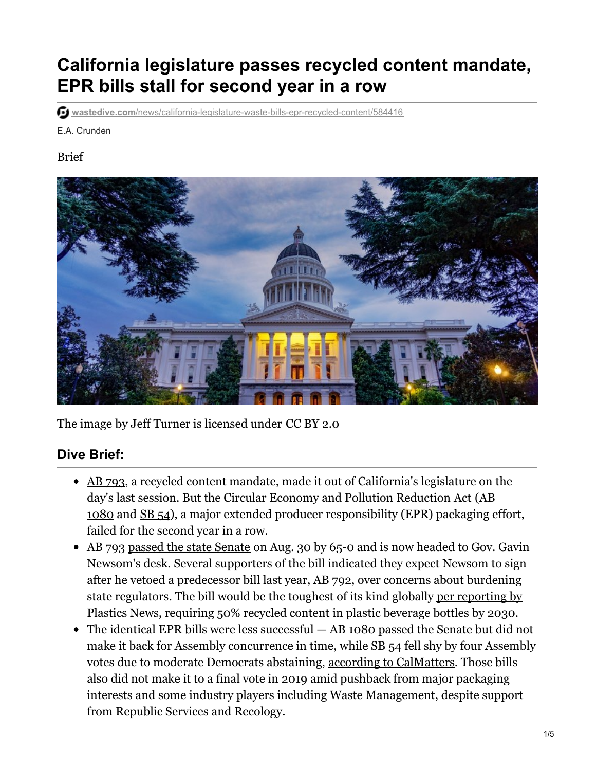# **California legislature passes recycled content mandate, EPR bills stall for second year in a row**

**wastedive.com**/news/california-legislature-waste-bills-epr-recycled-content/584416

E.A. Crunden

#### Brief



The image by Jeff Turner is licensed under CC BY 2.0

### **Dive Brief:**

- AB 793, a recycled content mandate, made it out of California's legislature on the day's last session. But the Circular Economy and Pollution Reduction Act (AB 1080 and SB 54), a major extended producer responsibility (EPR) packaging effort, failed for the second year in a row.
- AB 793 passed the state Senate on Aug. 30 by 65-0 and is now headed to Gov. Gavin Newsom's desk. Several supporters of the bill indicated they expect Newsom to sign after he vetoed a predecessor bill last year, AB 792, over concerns about burdening state regulators. The bill would be the toughest of its kind globally per reporting by Plastics News, requiring 50% recycled content in plastic beverage bottles by 2030.
- The identical EPR bills were less successful AB 1080 passed the Senate but did not make it back for Assembly concurrence in time, while SB 54 fell shy by four Assembly votes due to moderate Democrats abstaining, according to CalMatters. Those bills also did not make it to a final vote in 2019 amid pushback from major packaging interests and some industry players including Waste Management, despite support from Republic Services and Recology.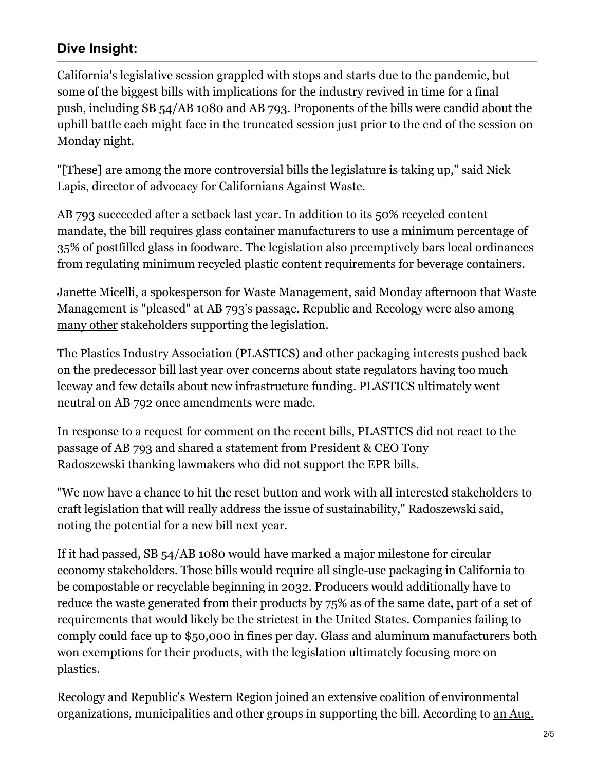## **Dive Insight:**

California's legislative session grappled with stops and starts due to the pandemic, but some of the biggest bills with implications for the industry revived in time for a final push, including SB 54/AB 1080 and AB 793. Proponents of the bills were candid about the uphill battle each might face in the truncated session just prior to the end of the session on Monday night.

"[These] are among the more controversial bills the legislature is taking up," said Nick Lapis, director of advocacy for Californians Against Waste.

AB 793 succeeded after a setback last year. In addition to its 50% recycled content mandate, the bill requires glass container manufacturers to use a minimum percentage of 35% of postfilled glass in foodware. The legislation also preemptively bars local ordinances from regulating minimum recycled plastic content requirements for beverage containers.

Janette Micelli, a spokesperson for Waste Management, said Monday afternoon that Waste Management is "pleased" at AB 793's passage. Republic and Recology were also among many other stakeholders supporting the legislation.

The Plastics Industry Association (PLASTICS) and other packaging interests pushed back on the predecessor bill last year over concerns about state regulators having too much leeway and few details about new infrastructure funding. PLASTICS ultimately went neutral on AB 792 once amendments were made.

In response to a request for comment on the recent bills, PLASTICS did not react to the passage of AB 793 and shared a statement from President & CEO Tony Radoszewski thanking lawmakers who did not support the EPR bills.

"We now have a chance to hit the reset button and work with all interested stakeholders to craft legislation that will really address the issue of sustainability," Radoszewski said, noting the potential for a new bill next year.

If it had passed, SB 54/AB 1080 would have marked a major milestone for circular economy stakeholders. Those bills would require all single-use packaging in California to be compostable or recyclable beginning in 2032. Producers would additionally have to reduce the waste generated from their products by 75% as of the same date, part of a set of requirements that would likely be the strictest in the United States. Companies failing to comply could face up to \$50,000 in fines per day. Glass and aluminum manufacturers both won exemptions for their products, with the legislation ultimately focusing more on plastics.

Recology and Republic's Western Region joined an extensive coalition of environmental organizations, municipalities and other groups in supporting the bill. According to an Aug.